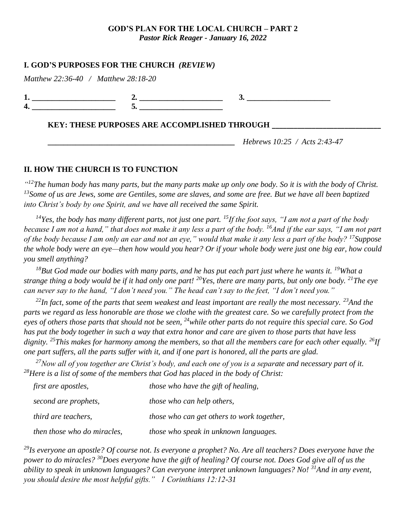### **GOD'S PLAN FOR THE LOCAL CHURCH – PART 2** *Pastor Rick Reager - January 16, 2022*

## **I. GOD'S PURPOSES FOR THE CHURCH** *(REVIEW)*

|     | _ |  |
|-----|---|--|
| ___ |   |  |

## **KEY: THESE PURPOSES ARE ACCOMPLISHED THROUGH \_\_\_\_\_\_\_\_\_\_\_\_\_\_\_\_\_\_\_\_\_\_\_\_\_\_\_\_\_\_**

**\_\_\_\_\_\_\_\_\_\_\_\_\_\_\_\_\_\_\_\_\_\_\_\_\_\_\_\_\_\_\_\_\_\_\_\_\_\_\_\_\_\_\_\_\_\_\_** *Hebrews 10:25 / Acts 2:43-47*

## **II. HOW THE CHURCH IS TO FUNCTION**

*" <sup>12</sup>The human body has many parts, but the many parts make up only one body. So it is with the body of Christ. <sup>13</sup>Some of us are Jews, some are Gentiles, some are slaves, and some are free. But we have all been baptized into Christ's body by one Spirit, and we have all received the same Spirit.*

*<sup>14</sup>Yes, the body has many different parts, not just one part. <sup>15</sup>If the foot says, "I am not a part of the body because I am not a hand," that does not make it any less a part of the body. <sup>16</sup>And if the ear says, "I am not part of the body because I am only an ear and not an eye," would that make it any less a part of the body? <sup>17</sup>Suppose the whole body were an eye—then how would you hear? Or if your whole body were just one big ear, how could you smell anything?*

*<sup>18</sup>But God made our bodies with many parts, and he has put each part just where he wants it. <sup>19</sup>What a strange thing a body would be if it had only one part! <sup>20</sup>Yes, there are many parts, but only one body. <sup>21</sup>The eye can never say to the hand, "I don't need you." The head can't say to the feet, "I don't need you."*

*<sup>22</sup>In fact, some of the parts that seem weakest and least important are really the most necessary. <sup>23</sup>And the parts we regard as less honorable are those we clothe with the greatest care. So we carefully protect from the eyes of others those parts that should not be seen, <sup>24</sup>while other parts do not require this special care. So God has put the body together in such a way that extra honor and care are given to those parts that have less dignity. <sup>25</sup>This makes for harmony among the members, so that all the members care for each other equally. <sup>26</sup>If one part suffers, all the parts suffer with it, and if one part is honored, all the parts are glad.*

*<sup>27</sup>Now all of you together are Christ's body, and each one of you is a separate and necessary part of it. <sup>28</sup>Here is a list of some of the members that God has placed in the body of Christ:*

| <i>first are apostles,</i>  | those who have the gift of healing,        |
|-----------------------------|--------------------------------------------|
| second are prophets,        | <i>those who can help others,</i>          |
| <i>third are teachers,</i>  | those who can get others to work together, |
| then those who do miracles, | those who speak in unknown languages.      |

*<sup>29</sup>Is everyone an apostle? Of course not. Is everyone a prophet? No. Are all teachers? Does everyone have the power to do miracles? <sup>30</sup>Does everyone have the gift of healing? Of course not. Does God give all of us the ability to speak in unknown languages? Can everyone interpret unknown languages? No! <sup>31</sup>And in any event, you should desire the most helpful gifts." 1 Corinthians 12:12-31*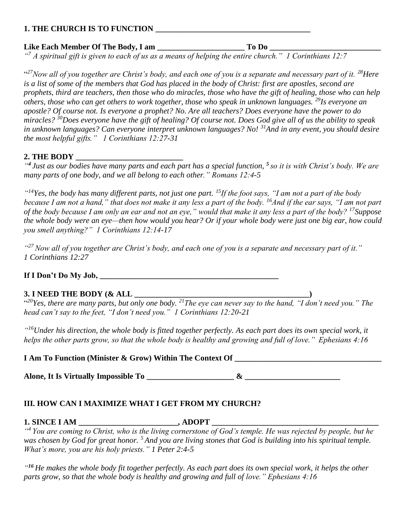## **1. THE CHURCH IS TO FUNCTION \_\_\_\_\_\_\_\_\_\_\_\_\_\_\_\_\_\_\_\_\_\_\_\_\_\_\_\_\_\_\_\_\_\_\_\_\_\_\_**

## **Like Each Member Of The Body, I am \_\_\_\_\_\_\_\_\_\_\_\_\_\_\_\_\_\_\_\_\_\_ To Do \_\_\_\_\_\_\_\_\_\_\_\_\_\_\_\_\_\_\_\_\_\_\_\_\_\_\_\_**

*" <sup>7</sup> A spiritual gift is given to each of us as a means of helping the entire church." 1 Corinthians 12:7*

" *<sup>27</sup>Now all of you together are Christ's body, and each one of you is a separate and necessary part of it. <sup>28</sup>Here is a list of some of the members that God has placed in the body of Christ: first are apostles, second are prophets, third are teachers, then those who do miracles, those who have the gift of healing, those who can help others, those who can get others to work together, those who speak in unknown languages. <sup>29</sup>Is everyone an apostle? Of course not. Is everyone a prophet? No. Are all teachers? Does everyone have the power to do miracles? <sup>30</sup>Does everyone have the gift of healing? Of course not. Does God give all of us the ability to speak in unknown languages? Can everyone interpret unknown languages? No! <sup>31</sup>And in any event, you should desire the most helpful gifts." 1 Corinthians 12:27-31*

## 2. THE BODY

*" 4 Just as our bodies have many parts and each part has a special function, <sup>5</sup> so it is with Christ's body. We are many parts of one body, and we all belong to each other." Romans 12:4-5*

*" <sup>14</sup>Yes, the body has many different parts, not just one part. <sup>15</sup>If the foot says, "I am not a part of the body because I am not a hand," that does not make it any less a part of the body. <sup>16</sup>And if the ear says, "I am not part of the body because I am only an ear and not an eye," would that make it any less a part of the body? <sup>17</sup>Suppose the whole body were an eye—then how would you hear? Or if your whole body were just one big ear, how could you smell anything?" 1 Corinthians 12:14-17*

*" <sup>27</sup>Now all of you together are Christ's body, and each one of you is a separate and necessary part of it." 1 Corinthians 12:27*

## **If I Don't Do My Job, \_\_\_\_\_\_\_\_\_\_\_\_\_\_\_\_\_\_\_\_\_\_\_\_\_\_\_\_\_\_\_\_\_\_\_\_\_\_\_\_\_\_\_\_\_**

# **3. I NEED THE BODY (& ALL \_\_\_\_\_\_\_\_\_\_\_\_\_\_\_\_\_\_\_\_\_\_\_\_\_\_\_\_\_\_\_\_\_\_\_\_\_\_\_\_\_\_\_\_)**

" *<sup>20</sup>Yes, there are many parts, but only one body. <sup>21</sup>The eye can never say to the hand, "I don't need you." The head can't say to the feet, "I don't need you." 1 Corinthians 12:20-21*

*" <sup>16</sup>Under his direction, the whole body is fitted together perfectly. As each part does its own special work, it helps the other parts grow, so that the whole body is healthy and growing and full of love." Ephesians 4:16*

**I Am To Function (Minister & Grow) Within The Context Of** 

Alone, It Is Virtually Impossible To  $\&$ 

## **III. HOW CAN I MAXIMIZE WHAT I GET FROM MY CHURCH?**

## **1. SINCE I AM \_\_\_\_\_\_\_\_\_\_\_\_\_\_\_\_\_\_\_\_\_\_\_\_, ADOPT \_\_\_\_\_\_\_\_\_\_\_\_\_\_\_\_\_\_\_\_\_\_\_\_\_\_\_\_\_\_\_\_\_**

*" <sup>4</sup> You are coming to Christ, who is the living cornerstone of God's temple. He was rejected by people, but he was chosen by God for great honor. <sup>5</sup> And you are living stones that God is building into his spiritual temple. What's more, you are his holy priests." 1 Peter 2:4-5*

*" <sup>16</sup> He makes the whole body fit together perfectly. As each part does its own special work, it helps the other parts grow, so that the whole body is healthy and growing and full of love." Ephesians 4:16*